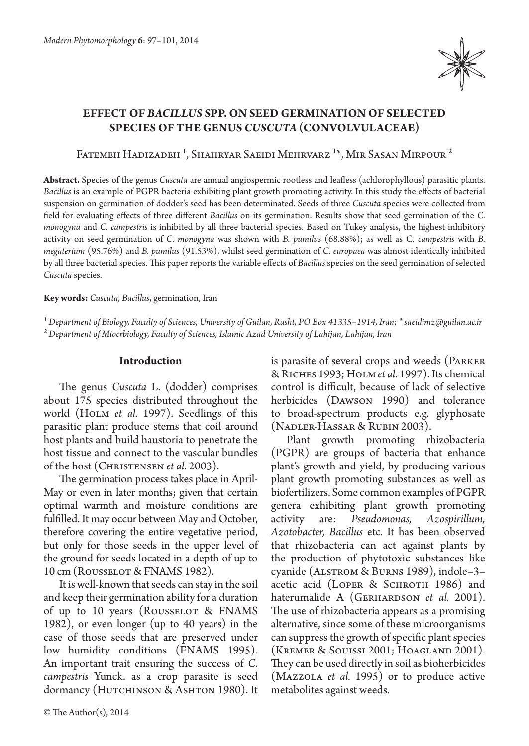

# **EFFECT OF** *BACILLUS* **SPP. ON SEED GERMINATION OF SELECTED SPECIES OF THE GENUS** *CUSCUTA* **(CONVOLVULACEAE)**

FATEMEH HADIZADEH<sup>1</sup>, SHAHRYAR SAEIDI MEHRVARZ<sup>1\*</sup>, MIR SASAN MIRPOUR<sup>2</sup>

**Abstract.** Species of the genus *Cuscuta* are annual angiospermic rootless and leafless (achlorophyllous) parasitic plants. *Bacillus* is an example of PGPR bacteria exhibiting plant growth promoting activity. In this study the effects of bacterial suspension on germination of dodder's seed has been determinated. Seeds of three *Cuscuta* species were collected from field for evaluating effects of three different *Bacillus* on its germination. Results show that seed germination of the *C. monogyna* and *C. campestris* is inhibited by all three bacterial species. Based on Tukey analysis, the highest inhibitory activity on seed germination of *C. monogyna* was shown with *B. pumilus* (68.88%); as well as C*. campestris* with *B. megaterium* (95.76%) and *B. pumilus* (91.53%), whilst seed germination of *C. europaea* was almost identically inhibited by all three bacterial species. This paper reports the variable effects of *Bacillus* species on the seed germination of selected *Cuscuta* species.

**Key words:** *Cuscuta, Bacillus*, germination, Iran

*¹ Department of Biology, Faculty of Sciences, University of Guilan, Rasht, PO Box 41335–1914, Iran; \* saeidimz@guilan.ac.ir ² Department of Miocrbiology, Faculty of Sciences, Islamic Azad University of Lahijan, Lahijan, Iran*

### **Introduction**

The genus *Cuscuta* L. (dodder) comprises about 175 species distributed throughout the world (HOLM *et al.* 1997). Seedlings of this parasitic plant produce stems that coil around host plants and build haustoria to penetrate the host tissue and connect to the vascular bundles of the host (Christensen *et al.* 2003).

The germination process takes place in April-May or even in later months; given that certain optimal warmth and moisture conditions are fulfilled. It may occur between May and October, therefore covering the entire vegetative period, but only for those seeds in the upper level of the ground for seeds located in a depth of up to 10 cm (Rousselot & FNAMS 1982).

It is well-known that seeds can stay in the soil and keep their germination ability for a duration of up to 10 years (Rousselot & FNAMS 1982), or even longer (up to 40 years) in the case of those seeds that are preserved under low humidity conditions (FNAMS 1995). An important trait ensuring the success of *C. campestris* Yunck. as a crop parasite is seed dormancy (HUTCHINSON & ASHTON 1980). It

© The Author(s), 2014

is parasite of several crops and weeds (Parker & Riches 1993; Holm*et al.* 1997). Its chemical control is difficult, because of lack of selective herbicides (Dawson 1990) and tolerance to broad-spectrum products e.g. glyphosate (Nadler-Hassar & Rubin 2003).

Plant growth promoting rhizobacteria (PGPR) are groups of bacteria that enhance plant's growth and yield, by producing various plant growth promoting substances as well as biofertilizers. Some common examples of PGPR genera exhibiting plant growth promoting activity are: *Pseudomonas, Azospirillum, Azotobacter, Bacillus* etc. It has been observed that rhizobacteria can act against plants by the production of phytotoxic substances like cyanide (Alstrom & Burns 1989), indole–3– acetic acid (LOPER & SCHROTH 1986) and haterumalide A (GERHARDSON *et al.* 2001). The use of rhizobacteria appears as a promising alternative, since some of these microorganisms can suppress the growth of specific plant species (Kremer & Souissi 2001; Hoagland 2001). They can be used directly in soil as bioherbicides (Mazzola *et al.* 1995) or to produce active metabolites against weeds.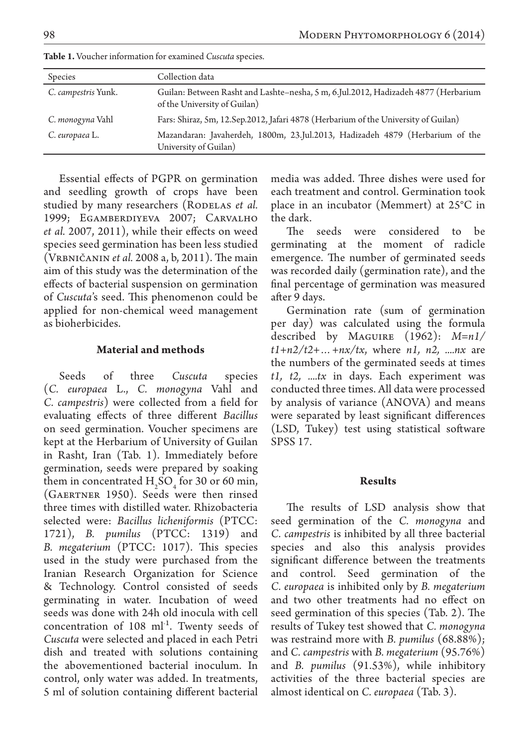| Species             | Collection data                                                                                                    |
|---------------------|--------------------------------------------------------------------------------------------------------------------|
| C. campestris Yunk. | Guilan: Between Rasht and Lashte-nesha, 5 m, 6.Jul.2012, Hadizadeh 4877 (Herbarium<br>of the University of Guilan) |
| C. monogyna Vahl    | Fars: Shiraz, 5m, 12.Sep.2012, Jafari 4878 (Herbarium of the University of Guilan)                                 |
| C. europaea L.      | Mazandaran: Javaherdeh, 1800m, 23.Jul.2013, Hadizadeh 4879 (Herbarium of the<br>University of Guilan)              |

**Table 1.** Voucher information for examined *Cuscuta* species.

Essential effects of PGPR on germination and seedling growth of crops have been studied by many researchers (RODELAS *et al.* 1999; Egamberdiyeva 2007; Carvalho *et al.* 2007, 2011), while their effects on weed species seed germination has been less studied (Vrbničanin *et al.* 2008 a, b, 2011). The main aim of this study was the determination of the effects of bacterial suspension on germination of *Cuscuta*'s seed. This phenomenon could be applied for non-chemical weed management as bioherbicides.

### **Material and methods**

Seeds of three *Cuscuta* species (*C. europaea*  L., *C. monogyna* Vahl and *C. campestris*) were collected from a field for evaluating effects of three different *Bacillus* on seed germination. Voucher specimens are kept at the Herbarium of University of Guilan in Rasht, Iran (Tab. 1). Immediately before germination, seeds were prepared by soaking them in concentrated  $H_2SO_4$  for 30 or 60 min, (Gaertner 1950). Seeds were then rinsed three times with distilled water. Rhizobacteria selected were: *Bacillus licheniformis* (PTCC: 1721), *B. pumilus* (PTCC: 1319) and *B. megaterium* (PTCC: 1017). This species used in the study were purchased from the Iranian Research Organization for Science & Technology. Control consisted of seeds germinating in water. Incubation of weed seeds was done with 24h old inocula with cell concentration of  $108 \text{ ml}^{-1}$ . Twenty seeds of *Cuscuta* were selected and placed in each Petri dish and treated with solutions containing the abovementioned bacterial inoculum. In control, only water was added. In treatments, 5 ml of solution containing different bacterial

media was added. Three dishes were used for each treatment and control. Germination took place in an incubator (Memmert) at 25°C in the dark.

The seeds were considered to be germinating at the moment of radicle emergence. The number of germinated seeds was recorded daily (germination rate), and the final percentage of germination was measured after 9 days.

Germination rate (sum of germination per day) was calculated using the formula described by Maguire (1962): *M=n1/ t1+n2/t2+…+nx/tx*, where *n1, n2, ....nx* are the numbers of the germinated seeds at times *t1, t2, ....tx* in days. Each experiment was conducted three times. All data were processed by analysis of variance (ANOVA) and means were separated by least significant differences (LSD, Tukey) test using statistical software SPSS 17.

## **Results**

The results of LSD analysis show that seed germination of the *C. monogyna* and *C. campestris* is inhibited by all three bacterial species and also this analysis provides significant difference between the treatments and control. Seed germination of the *C. europaea* is inhibited only by *B. megaterium*  and two other treatments had no effect on seed germination of this species (Tab. 2). The results of Tukey test showed that *C. monogyna* was restraind more with *B. pumilus* (68.88%); and *C. campestris* with *B. megaterium* (95.76%) and *B. pumilus* (91.53%), while inhibitory activities of the three bacterial species are almost identical on *C. europaea* (Tab. 3).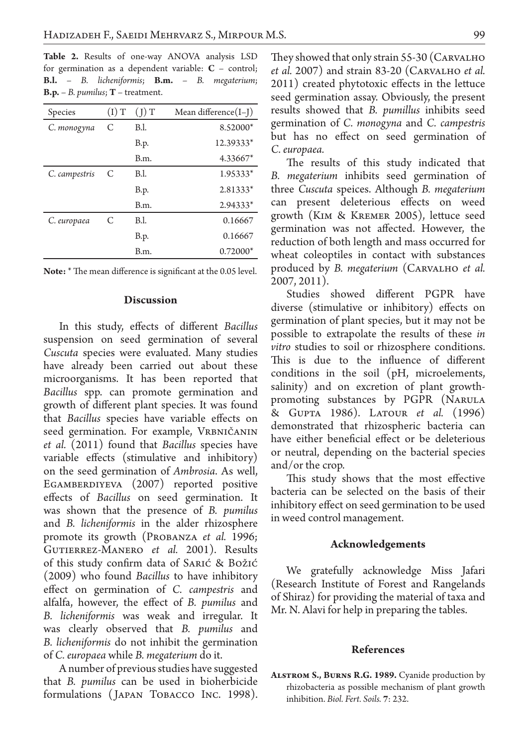**Table 2.** Results of one-way ANOVA analysis LSD for germination as a dependent variable:  $C$  – control; **B.l.** – *B. licheniformis*; **B.m.** – *B. megaterium*; **B.p.** – *B. pumilus*; **T** – treatment.

| Species       | $(1)$ T | (1)T        | Mean difference(I-J) |
|---------------|---------|-------------|----------------------|
| C. monogyna   | C       | <b>B.I.</b> | 8.52000*             |
|               |         | <b>B.p.</b> | 12.39333*            |
|               |         | B.m.        | 4.33667*             |
| C. campestris | C       | <b>B.I.</b> | $1.95333*$           |
|               |         | <b>B.p.</b> | $2.81333*$           |
|               |         | B.m.        | $2.94333*$           |
| C. europaea   | C       | <b>B.I.</b> | 0.16667              |
|               |         | <b>B.p.</b> | 0.16667              |
|               |         | B.m.        | $0.72000*$           |

| Note: * The mean difference is significant at the 0.05 level. |  |
|---------------------------------------------------------------|--|
|---------------------------------------------------------------|--|

### **Discussion**

In this study, effects of different *Bacillus* suspension on seed germination of several *Cuscuta* species were evaluated. Many studies have already been carried out about these microorganisms. It has been reported that *Bacillus* spp. can promote germination and growth of different plant species. It was found that *Bacillus* species have variable effects on seed germination. For example, VRBNIČANIN *et al.* (2011) found that *Bacillus* species have variable effects (stimulative and inhibitory) on the seed germination of *Ambrosia*. As well, EGAMBERDIYEVA (2007) reported positive effects of *Bacillus* on seed germination. It was shown that the presence of *B. pumilus* and *B. licheniformis* in the alder rhizosphere promote its growth (Probanza *et al.* 1996; Gutierrez-Manero *et al.* 2001). Results of this study confirm data of Sarić & Božić (2009) who found *Bacillus* to have inhibitory effect on germination of *C. campestris* and alfalfa, however, the effect of *B. pumilus* and *B. licheniformis* was weak and irregular. It was clearly observed that *B. pumilus* and *B. licheniformis* do not inhibit the germination of *C. europaea* while *B. megaterium* do it.

A number of previous studies have suggested that *B. pumilus* can be used in bioherbicide formulations ( Japan Tobacco Inc. 1998).

They showed that only strain 55-30 (CARVALHO *et al.* 2007) and strain 83-20 (Carvalho *et al.*  2011) created phytotoxic effects in the lettuce seed germination assay. Obviously, the present results showed that *B. pumillus* inhibits seed germination of *C. monogyna* and *C. campestris*  but has no effect on seed germination of *C. europaea.*

The results of this study indicated that *B. megaterium* inhibits seed germination of three *Cuscuta* speices. Although *B. megaterium*  can present deleterious effects on weed growth (Kim & Kremer 2005), lettuce seed germination was not affected. However, the reduction of both length and mass occurred for wheat coleoptiles in contact with substances produced by *B. megaterium* (Carvalho *et al.*  2007, 2011).

Studies showed different PGPR have diverse (stimulative or inhibitory) effects on germination of plant species, but it may not be possible to extrapolate the results of these *in vitro* studies to soil or rhizosphere conditions. This is due to the influence of different conditions in the soil (pH, microelements, salinity) and on excretion of plant growthpromoting substances by PGPR (Narula & Gupta 1986). Latour *et al.* (1996) demonstrated that rhizospheric bacteria can have either beneficial effect or be deleterious or neutral, depending on the bacterial species and/or the crop.

This study shows that the most effective bacteria can be selected on the basis of their inhibitory effect on seed germination to be used in weed control management.

### **Acknowledgements**

We gratefully acknowledge Miss Jafari (Research Institute of Forest and Rangelands of Shiraz) for providing the material of taxa and Mr. N. Alavi for help in preparing the tables.

#### **References**

**Alstrom S., Burns R.G. 1989.** Cyanide production by rhizobacteria as possible mechanism of plant growth inhibition. *Biol. Fert. Soils.* **7**: 232.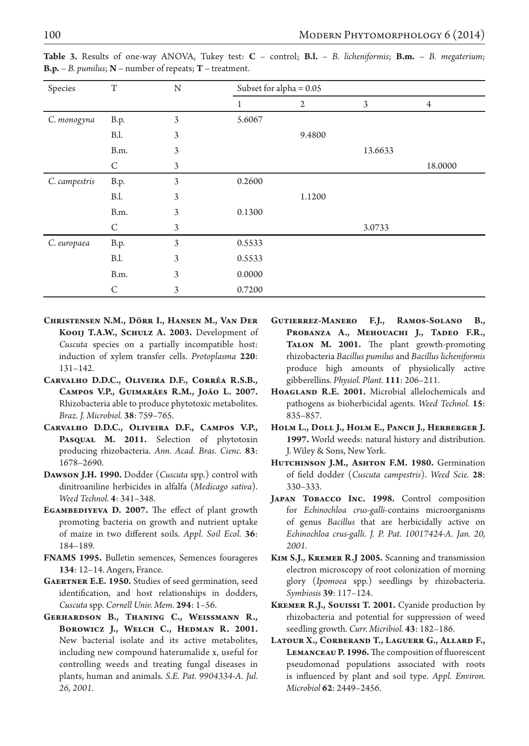| Species       | T           | N | Subset for alpha $= 0.05$ |              |         |                |
|---------------|-------------|---|---------------------------|--------------|---------|----------------|
|               |             |   |                           | $\mathbf{2}$ | 3       | $\overline{4}$ |
| C. monogyna   | <b>B.p.</b> | 3 | 5.6067                    |              |         |                |
|               | <b>B.I.</b> | 3 |                           | 9.4800       |         |                |
|               | B.m.        | 3 |                           |              | 13.6633 |                |
|               | C           | 3 |                           |              |         | 18.0000        |
| C. campestris | B.p.        | 3 | 0.2600                    |              |         |                |
|               | <b>B.I.</b> | 3 |                           | 1.1200       |         |                |
|               | B.m.        | 3 | 0.1300                    |              |         |                |
|               | C           | 3 |                           |              | 3.0733  |                |
| C. europaea   | B.p.        | 3 | 0.5533                    |              |         |                |
|               | <b>B.I.</b> | 3 | 0.5533                    |              |         |                |
|               | B.m.        | 3 | 0.0000                    |              |         |                |
|               | C           | 3 | 0.7200                    |              |         |                |

**Table 3.** Results of one-way ANOVA, Tukey test: **C** – control; **B.l.** – *B. licheniformis*; **B.m.** – *B. megaterium*; **B.p.** – *B. pumilus*; **N** – number of repeats; **T** – treatment.

- **Christensen N.M., Dörr I., Hansen M., Van Der Kooij T.A.W., Schulz A. 2003.** Development of *Cuscuta* species on a partially incompatible host: induction of xylem transfer cells. *Protoplasma* **220**: 131–142.
- **Carvalho D.D.C., Oliveira D.F., Corrêa R.S.B., Campos V.P., Guimarães R.M., João L. 2007.**  Rhizobacteria able to produce phytotoxic metabolites. *Braz. J. Microbiol.* **38**: 759–765.
- **Carvalho D.D.C., Oliveira D.F., Campos V.P.,**  PASQUAL M. 2011. Selection of phytotoxin producing rhizobacteria. *Ann. Acad. Bras. Cienc.* **83**: 1678–2690.
- **Dawson J.H. 1990.** Dodder (*Cuscuta* spp.) control with dinitroaniline herbicides in alfalfa (*Medicago sativa*). *Weed Technol.* **4**: 341–348.
- EGAMBEDIYEVA D. 2007. The effect of plant growth promoting bacteria on growth and nutrient uptake of maize in two different soils. *Appl. Soil Ecol.* **36**: 184–189.
- **FNAMS 1995.** Bulletin semences, Semences fourageres **134**: 12–14. Angers, France.
- **Gaertner E.E. 1950.** Studies of seed germination, seed identification, and host relationships in dodders, *Cuscuta* spp. *Cornell Univ. Mem.* **294**: 1–56.
- **Gerhardson B., Thaning C., Weissmann R., Borowicz J., Welch C., Hedman R. 2001.** New bacterial isolate and its active metabolites, including new compound haterumalide x, useful for controlling weeds and treating fungal diseases in plants, human and animals. *S.E. Pat. 9904334-A. Jul. 26, 2001.*
- **Gutierrez-Manero F.J., Ramos-Solano B.,**  PROBANZA A., MEHOUACHI J., TADEO F.R., **Talon M. 2001.** The plant growth-promoting rhizobacteria *Bacillus pumilus* and *Bacillus licheniformis* produce high amounts of physiolically active gibberellins. *Physiol. Plant.* **111**: 206–211.
- **Hoagland R.E. 2001.** Microbial allelochemicals and pathogens as bioherbicidal agents. *Weed Technol.* **15**: 835–857.
- HOLM L., DOLL J., HOLM E., PANCH J., HERBERGER J. **1997.** World weeds: natural history and distribution. J. Wiley & Sons, New York.
- HUTCHINSON J.M., ASHTON F.M. 1980. Germination of field dodder (*Cuscuta campestris*). *Weed Scie.* **28**: 330–333.
- JAPAN TOBACCO INC. 1998. Control composition for *Echinochloa crus-galli*-contains microorganisms of genus *Bacillus* that are herbicidally active on *Echinochloa crus-galli*. *J. P. Pat. 10017424-A. Jan. 20, 2001.*
- **Kim S.J., Kremer R.J 2005.** Scanning and transmission electron microscopy of root colonization of morning glory (*Ipomoea* spp.) seedlings by rhizobacteria. *Symbiosis* **39**: 117–124.
- **Kremer R.J., Souissi T. 2001.** Cyanide production by rhizobacteria and potential for suppression of weed seedling growth. *Curr. Micribiol.* **43**: 182–186.
- **Latour X., Corberand T., Laguerr G., Allard F., Lemanceau P. 1996.** The composition of fluorescent pseudomonad populations associated with roots is influenced by plant and soil type. *Appl. Environ. Microbiol* **62**: 2449–2456.